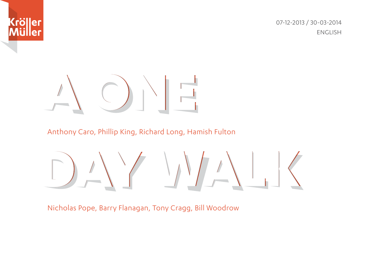

07-12-2013 / 30-03-2014 ENGLISH

# $\frac{1}{\sqrt{2}}$

Anthony Caro, Phillip King, Richard Long, Hamish Fulton

 $\frac{1}{\sqrt{2}}$ 

Nicholas Pope, Barry Flanagan, Tony Cragg, Bill Woodrow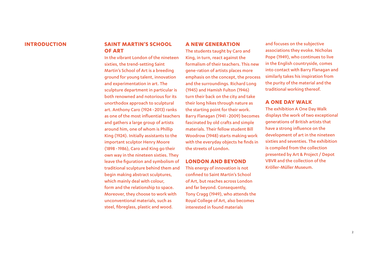#### **INTRODUCTION**

#### **SAINT MARTIN'S SCHOOL OF ART**

In the vibrant London of the nineteen sixties, the trend-setting Saint Martin's School of Art is a breeding ground for young talent, innovation and experimentation in art. The sculpture department in particular is both renowned and notorious for its unorthodox approach to sculptural art. Anthony Caro (1924 - 2013) ranks as one of the most influential teachers and gathers a large group of artists around him, one of whom is Phillip King (1924). Initially assistants to the important sculptor Henry Moore (1898 - 1986), Caro and King go their own way in the nineteen sixties. They leave the figuration and symbolism of traditional sculpture behind them and begin making abstract sculptures, which mainly deal with colour, form and the relationship to space. Moreover, they choose to work with unconventional materials, such as steel, fibreglass, plastic and wood.

#### **A NEW GENERATION**

The students taught by Caro and King, in turn, react against the formalism of their teachers. This new gene-ration of artists places more emphasis on the concept, the process and the surroundings. Richard Long (1945) and Hamish Fulton (1946) turn their back on the city and take their long hikes through nature as the starting point for their work. Barry Flanagan (1941 - 2009) becomes fascinated by old crafts and simple materials. Their fellow student Bill Woodrow (1948) starts making work with the everyday objects he finds in the streets of London.

#### **LONDON AND BEYOND**

This energy of innovation is not confined to Saint Martin's School of Art, but reaches across London and far beyond. Consequently, Tony Cragg (1949), who attends the Royal College of Art, also becomes interested in found materials

and focuses on the subjective associations they evoke. Nicholas Pope (1949), who continues to live in the English countryside, comes into contact with Barry Flanagan and similarly takes his inspiration from the purity of the material and the traditional working thereof.

#### **A ONE DAY WALK**

The exhibition A One Day Walk displays the work of two exceptional generations of British artists that have a strong influence on the development of art in the nineteen sixties and seventies. The exhibition is compiled from the collection presented by Art & Project / Depot VBVR and the collection of the Kröller-Müller Museum.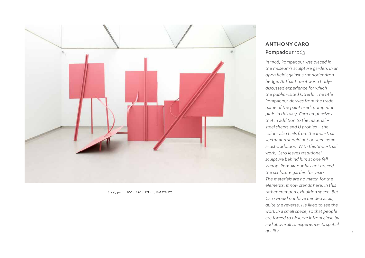

Steel, paint, 300 x 490 x 271 cm, KM 128.325

#### **ANTHONY CARO** Pompadour 1963

*In 1968,* Pompadour *was placed in the museum's sculpture garden, in an open field against a rhododendron hedge. At that time it was a hotlydiscussed experience for which the public visited Otterlo. The title*  Pompadour *derives from the trade name of the paint used: pompadour pink. In this way, Caro emphasizes that in addition to the material – steel sheets and U profiles – the colour also hails from the industrial sector and should not be seen as an artistic addition. With this 'industrial' work, Caro leaves traditional sculpture behind him at one fell swoop.* Pompadour *has not graced the sculpture garden for years. The materials are no match for the elements. It now stands here, in this rather cramped exhibition space. But Caro would not have minded at all, quite the reverse. He liked to see the work in a small space, so that people are forced to observe it from close by and above all to experience its spatial quality.*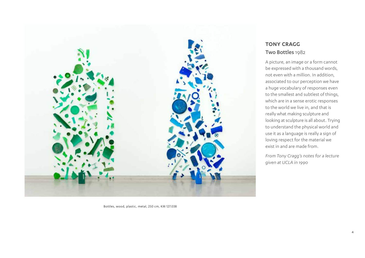

## **TONY CRAGG** Two Bottles 1982

A picture, an image or a form cannot be expressed with a thousand words, not even with a million. In addition, associated to our perception we have a huge vocabulary of responses even to the smallest and subtlest of things, which are in a sense erotic responses to the world we live in, and that is really what making sculpture and looking at sculpture is all about. Trying to understand the physical world and use it as a language is really a sign of loving respect for the material we exist in and are made from.

*From Tony Cragg's notes for a lecture given at UCLA in 1990*

Bottles, wood, plastic, metal, 250 cm, KM 127.038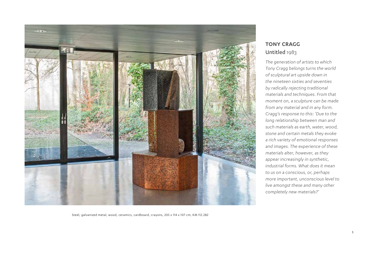

## **TONY CRAGG** Untitled 1983

*The generation of artists to which Tony Cragg belongs turns the world of sculptural art upside down in the nineteen sixties and seventies by radically rejecting traditional materials and techniques. From that moment on, a sculpture can be made from any material and in any form. Cragg's response to this: 'Due to the long relationship between man and such materials as earth, water, wood, stone and certain metals they evoke a rich variety of emotional responses and images. The experience of these materials alter, however, as they appear increasingly in synthetic, industrial forms. What does it mean to us on a conscious, or, perhaps more important, unconscious level to live amongst these and many other completely new materials?'*

Steel, galvanized metal, wood, ceramics, cardboard, crayons, 205 x 114 x 107 cm, KM 112.282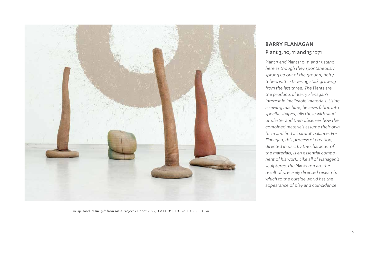

# **BARRY FLANAGAN** Plant 3, 10, 11 and 15 1971

Plant 3 *and* Plants 10, 11 *and* 15 *stand here as though they spontaneously sprung up out of the ground; hefty tubers with a tapering stalk growing from the last three. The* Plants *are the products of Barry Flanagan's interest in 'malleable' materials. Using a sewing machine, he sews fabric into specific shapes, fills these with sand or plaster and then observes how the combined materials assume their own form and find a 'natural' balance. For Flanagan, this process of creation, directed in part by the character of the materials, is an essential component of his work. Like all of Flanagan's sculptures, the* Plants *too are the result of precisely directed research, which to the outside world has the appearance of play and coincidence.*

Burlap, sand, resin, gift from Art & Project / Depot VBVR, KM 133.351, 133.352, 133.353, 133.354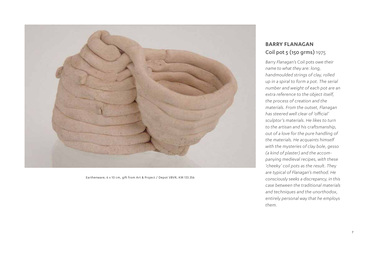

Earthenware, 6 x 10 cm, gift from Art & Project / Depot VBVR, KM 133.356

#### **BARRY FLANAGAN** Coil pot 5 (150 grms) 1975

*Barry Flanagan's* Coil pots *owe their name to what they are: long, handmoulded strings of clay, rolled up in a spiral to form a pot. The serial number and weight of each pot are an extra reference to the object itself, the process of creation and the materials. From the outset, Flanagan has steered well clear of 'official' sculptor's materials. He likes to turn to the artisan and his craftsmanship, out of a love for the pure handling of the materials. He acquaints himself with the mysteries of clay bole, gesso (a kind of plaster) and the accompanying medieval recipes, with these 'cheeky' coil pots as the result. They are typical of Flanagan's method. He consciously seeks a discrepancy, in this case between the traditional materials and techniques and the unorthodox, entirely personal way that he employs them.*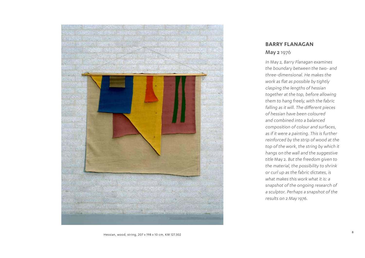

#### **BARRY FLANAGAN** May 2 1976

*In* May 2*, Barry Flanagan examines the boundary between the two- and three-dimensional. He makes the work as flat as possible by tightly clasping the lengths of hessian together at the top, before allowing them to hang freely, with the fabric falling as it will. The different pieces of hessian have been coloured and combined into a balanced composition of colour and surfaces, as if it were a painting. This is further reinforced by the strip of wood at the top of the work, the string by which it hangs on the wall and the suggestive title* May 2*. But the freedom given to the material, the possibility to shrink or curl up as the fabric dictates, is what makes this work what it is: a snapshot of the ongoing research of a sculptor. Perhaps a snapshot of the results on 2 May 1976.*

Hessian, wood, string, 207 x 198 x 10 cm, KM 127.302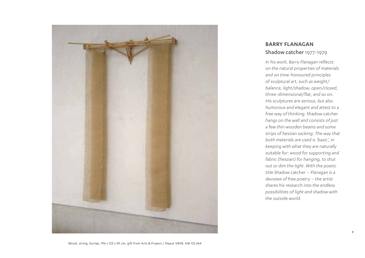

#### **BARRY FLANAGAN** Shadow catcher 1977-1979

*In his work, Barry Flanagan reflects on the natural properties of materials and on time-honoured principles of sculptural art, such as weight/ balance, light/shadow, open/closed, three-dimensional/flat, and so on. His sculptures are serious, but also humorous and elegant and attest to a free way of thinking.* Shadow catcher *hangs on the wall and consists of just a few thin wooden beams and some strips of hessian sacking. The way that both materials are used is 'basic', in keeping with what they are naturally suitable for: wood for supporting and fabric (hessian) for hanging, to shut out or dim the light. With the poetic title* Shadow catcher *– Flanagan is a devotee of free poetry – the artist shares his research into the endless possibilities of light and shadow with the outside world.*

Wood, string, burlap, 196 x 123 x 39 cm, gift from Arts & Project / Depot VBVR, KM 133.364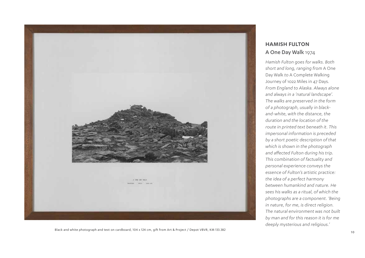

#### **HAMISH FULTON** A One Day Walk 1974

*Hamish Fulton goes for walks. Both short and long, ranging from* A One Day Walk *to* A Complete Walking Journey of 1022 Miles in 47 Days*. From England to Alaska. Always alone and always in a 'natural landscape'. The walks are preserved in the form of a photograph, usually in blackand-white, with the distance, the duration and the location of the route in printed text beneath it. This impersonal information is preceded by a short poetic description of that which is shown in the photograph and affected Fulton during his trip. This combination of factuality and personal experience conveys the essence of Fulton's artistic practice: the idea of a perfect harmony between humankind and nature. He sees his walks as a ritual, of which the photographs are a component. 'Being in nature, for me, is direct religion. The natural environment was not built by man and for this reason it is for me deeply mysterious and religious.'* 

Black and white photograph and text on cardboard, 104 x 124 cm, gift from Art & Project / Depot VBVR, KM 133.382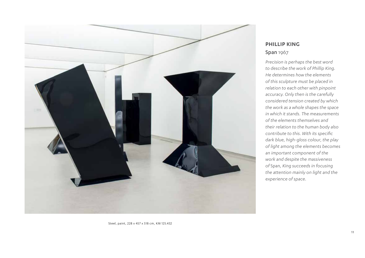

#### **PHILLIP KING** Span 1967

*Precision is perhaps the best word to describe the work of Phillip King. He determines how the elements of this sculpture must be placed in relation to each other with pinpoint accuracy. Only then is the carefully considered tension created by which the work as a whole shapes the space in which it stands. The measurements of the elements themselves and their relation to the human body also contribute to this. With its specific dark blue, high-gloss colour, the play of light among the elements becomes an important component of the work and despite the massiveness of* Span*, King succeeds in focusing the attention mainly on light and the experience of space.*

Steel, paint, 228 x 457 x 518 cm, KM 125.432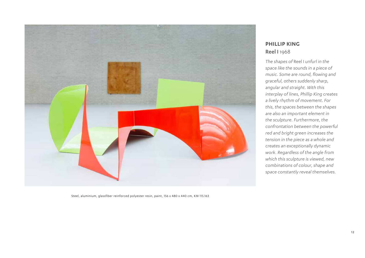

#### **PHILLIP KING** Reel I 1968

*The shapes of* Reel I *unfurl in the space like the sounds in a piece of music. Some are round, flowing and graceful, others suddenly sharp, angular and straight. With this interplay of lines, Phillip King creates a lively rhythm of movement. For this, the spaces between the shapes are also an important element in the sculpture. Furthermore, the confrontation between the powerful red and bright green increases the tension in the piece as a whole and creates an exceptionally dynamic work. Regardless of the angle from which this sculpture is viewed, new combinations of colour, shape and space constantly reveal themselves.*

Steel, aluminium, glassfiber reinforced polyester resin, paint, 156 x 480 x 440 cm, KM 115.163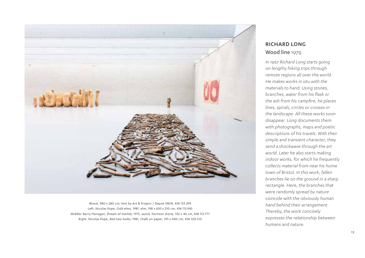

Wood, 980 x 280 cm, lent by Art & Project / Depot VBVR, KM 133.399 Left: Nicolas Pope, Odd elms, 1981, elm, 198 x 630 x 210 cm, KM 115.945 Middle: Barry Flanagan, Dream of marble, 1975, wood, hornton stone, 102 x 46 cm, KM 113.777 Right: Nicolas Pope, Red two holes, 1981, chalk on paper, 195 x 440 cm, KM 100.510

#### **RICHARD LONG** Wood line 1979

*In 1967 Richard Long starts going on lengthy hiking trips through remote regions all over the world. He makes works in situ with the materials to hand. Using stones, branches, water from his flask or the ash from his campfire, he places lines, spirals, circles or crosses in the landscape. All these works soon disappear. Long documents them with photographs, maps and poetic descriptions of his travels. With their simple and transient character, they send a shockwave through the art world. Later he also starts making indoor works, for which he frequently collects material from near his home town of Bristol. In this work, fallen branches lie on the ground in a sharp rectangle. Here, the branches that were randomly spread by nature coincide with the obviously human hand behind their arrangement. Thereby, the work concisely expresses the relationship between humans and nature.*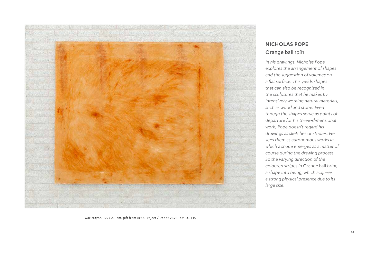

# **NICHOLAS POPE** Orange ball 1981

*In his drawings, Nicholas Pope explores the arrangement of shapes and the suggestion of volumes on a flat surface. This yields shapes that can also be recognized in the sculptures that he makes by intensively working natural materials, such as wood and stone. Even though the shapes serve as points of departure for his three-dimensional work, Pope doesn't regard his drawings as sketches or studies. He sees them as autonomous works in which a shape emerges as a matter of course during the drawing process. So the varying direction of the coloured stripes in* Orange ball *bring a shape into being, which acquires a strong physical presence due to its large size.*

Wax crayon, 195 x 231 cm, gift from Art & Project / Depot VBVR, KM 133.445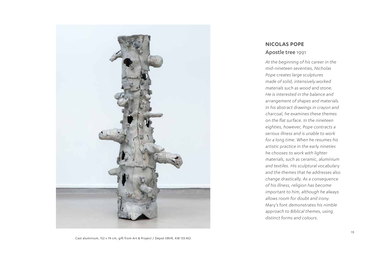

#### **NICOLAS POPE** Apostle tree 1991

*At the beginning of his career in the mid-nineteen seventies, Nicholas Pope creates large sculptures made of solid, intensively worked materials such as wood and stone. He is interested in the balance and arrangement of shapes and materials. In his abstract drawings in crayon and charcoal, he examines these themes on the flat surface. In the nineteen eighties, however, Pope contracts a serious illness and is unable to work for a long time. When he resumes his artistic practice in the early nineties he chooses to work with lighter materials, such as ceramic, aluminium and textiles. His sculptural vocabulary and the themes that he addresses also change drastically. As a consequence of his illness, religion has become important to him, although he always allows room for doubt and irony.*  Mary's font *demonstrates his nimble approach to Biblical themes, using distinct forms and colours.*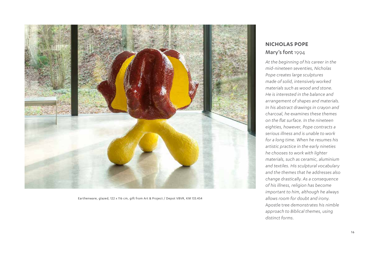

Earthenware, glazed, 122 x 116 cm, gift from Art & Project / Depot VBVR, KM 133.454

## **NICHOLAS POPE** Mary's font 1994

*At the beginning of his career in the mid-nineteen seventies, Nicholas Pope creates large sculptures made of solid, intensively worked materials such as wood and stone. He is interested in the balance and arrangement of shapes and materials. In his abstract drawings in crayon and charcoal, he examines these themes on the flat surface. In the nineteen eighties, however, Pope contracts a serious illness and is unable to work for a long time. When he resumes his artistic practice in the early nineties he chooses to work with lighter materials, such as ceramic, aluminium and textiles. His sculptural vocabulary and the themes that he addresses also change drastically. As a consequence of his illness, religion has become important to him, although he always allows room for doubt and irony.*  Apostle tree *demonstrates his nimble approach to Biblical themes, using distinct forms.*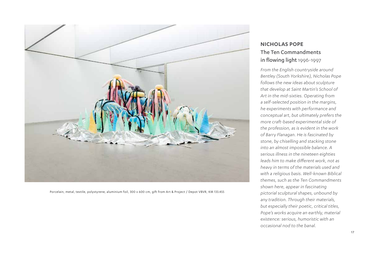

Porcelain, metal, textile, polystyrene, aluminium foil, 300 x 600 cm, gift from Art & Project / Depot VBVR, KM 133.455

# **NICHOLAS POPE** The Ten Commandments in flowing light 1996-1997

*From the English countryside around Bentley (South Yorkshire), Nicholas Pope follows the new ideas about sculpture that develop at Saint Martin's School of Art in the mid-sixties. Operating from a self-selected position in the margins, he experiments with performance and conceptual art, but ultimately prefers the more craft-based experimental side of the profession, as is evident in the work of Barry Flanagan. He is fascinated by stone, by chiselling and stacking stone into an almost impossible balance. A serious illness in the nineteen eighties leads him to make different work, not as heavy in terms of the materials used and with a religious basis. Well-known Biblical themes, such as the Ten Commandments shown here, appear in fascinating pictorial sculptural shapes, unbound by any tradition. Through their materials, but especially their poetic, critical titles, Pope's works acquire an earthly, material existence: serious, humoristic with an occasional nod to the banal.*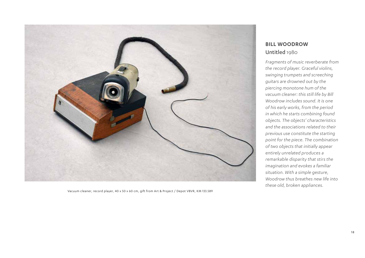

Vacuum cleaner, record player, 40 x 50 x 60 cm, gift from Art & Project / Depot VBVR, KM 133.589

#### **BILL WOODROW** Untitled 1980

*Fragments of music reverberate from the record player. Graceful violins, swinging trumpets and screeching guitars are drowned out by the piercing monotone hum of the vacuum cleaner: this still life by Bill Woodrow includes sound. It is one of his early works, from the period in which he starts combining found objects. The objects' characteristics and the associations related to their previous use constitute the starting point for the piece. The combination of two objects that initially appear entirely unrelated produces a remarkable disparity that stirs the imagination and evokes a familiar situation. With a simple gesture, Woodrow thus breathes new life into these old, broken appliances.*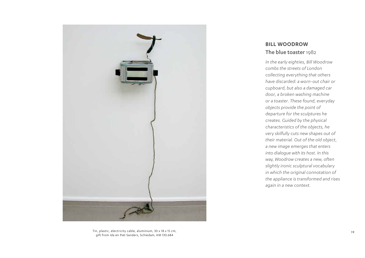

Tin, plastic, electricity cable, aluminium, 30 x 18 x 15 cm, gift from Ida en Piet Sanders, Schiedam, KM 130.684

#### **BILL WOODROW** The blue toaster 1982

*In the early eighties, Bill Woodrow combs the streets of London collecting everything that others have discarded: a worn-out chair or cupboard, but also a damaged car door, a broken washing machine or a toaster. These found, everyday objects provide the point of departure for the sculptures he creates. Guided by the physical characteristics of the objects, he very skilfully cuts new shapes out of their material. Out of the old object, a new image emerges that enters into dialogue with its host. In this way, Woodrow creates a new, often slightly ironic sculptural vocabulary in which the original connotation of the appliance is transformed and rises again in a new context.*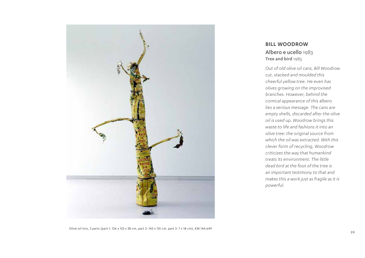

#### **BILL WOODROW** Albero e ucello 1983 Tree and bird 1983

*Out of old olive oil cans, Bill Woodrow cut, stacked and moulded this cheerful yellow tree. He even has olives growing on the improvised branches. However, behind the comical appearance of this* albero *lies a serious message. The cans are empty shells, discarded after the olive oil is used up. Woodrow brings this waste to life and fashions it into an olive tree: the original source from which the oil was extracted. With this clever form of recycling, Woodrow criticizes the way that humankind treats its environment. The little dead bird at the foot of the tree is an important testimony to that and makes this a work just as fragile as it is powerful.*

Olive oil tins, 3 parts (part 1: 126 x 133 x 38 cm, part 2: 143 x 135 cm, part 3: 7 x 18 cm), KM 144.649